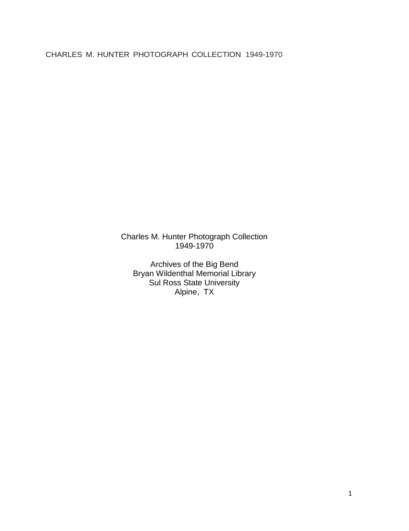Charles M. Hunter Photograph Collection 1949-1970

Archives of the Big Bend Bryan Wildenthal Memorial Library Sul Ross State University Alpine, TX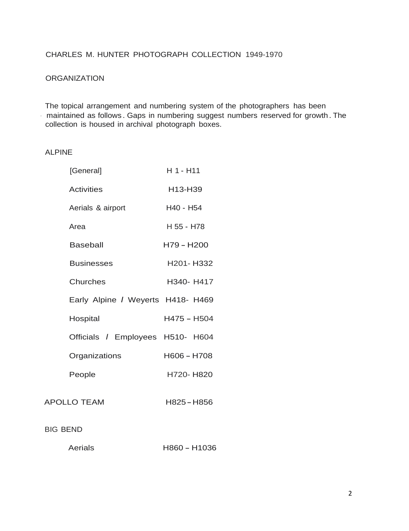#### **ORGANIZATION**

The topical arrangement and numbering system of the photographers has been - maintained as follows . Gaps in numbering suggest numbers reserved for growth. The collection is housed in archival photograph boxes.

#### ALPINE

| [General]                         | H 1 - H11   |
|-----------------------------------|-------------|
| <b>Activities</b>                 | H13-H39     |
| Aerials & airport                 | H40 - H54   |
| Area                              | H 55 - H78  |
| <b>Baseball</b>                   | H79 - H200  |
| <b>Businesses</b>                 | H201-H332   |
| Churches                          | H340- H417  |
| Early Alpine / Weyerts H418- H469 |             |
| Hospital                          | H475 - H504 |
| Officials / Employees H510- H604  |             |
| Organizations                     | H606 - H708 |
| People                            | H720-H820   |
| <b>APOLLO TEAM</b>                | H825 - H856 |

#### BIG BEND

| Aerials | H860 - H1036 |
|---------|--------------|
|         |              |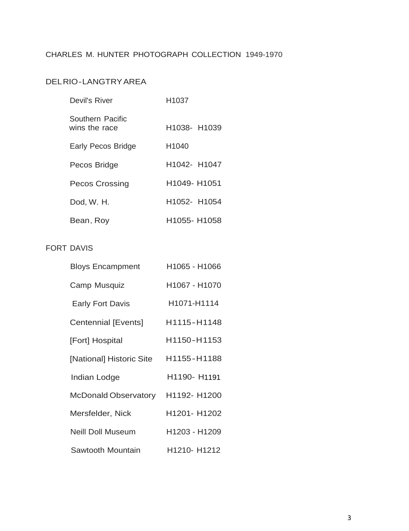# DELRIO-LANGTRYAREA

| Devil's River                     | H <sub>1037</sub> |
|-----------------------------------|-------------------|
| Southern Pacific<br>wins the race | H1038- H1039      |
| Early Pecos Bridge                | H1040             |
| Pecos Bridge                      | H1042- H1047      |
| <b>Pecos Crossing</b>             | H1049- H1051      |
| Dod, W. H.                        | H1052- H1054      |
| Bean, Roy                         | H1055- H1058      |

# FORT DAVIS

| <b>Bloys Encampment</b>  | H1065 - H1066                        |
|--------------------------|--------------------------------------|
| Camp Musquiz             | H1067 - H1070                        |
| <b>Early Fort Davis</b>  | H <sub>10</sub> 71-H <sub>1114</sub> |
| Centennial [Events]      | H1115-H1148                          |
| [Fort] Hospital          | H1150-H1153                          |
| [National] Historic Site | H1155-H1188                          |
| Indian Lodge             | H1190- H1191                         |
| McDonald Observatory     | H1192- H1200                         |
| Mersfelder, Nick         | H1201- H1202                         |
| <b>Neill Doll Museum</b> | H1203 - H1209                        |
| Sawtooth Mountain        | H1210- H1212                         |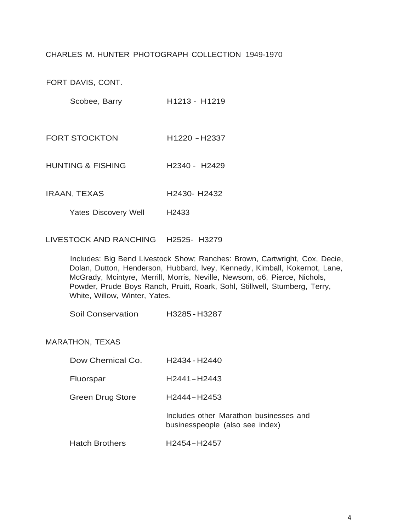FORT DAVIS, CONT.

Scobee, Barry **H1213 - H1219** 

FORT STOCKTON H1220 -H2337

HUNTING & FISHING H2340 - H2429

IRAAN, TEXAS H2430- H2432

Yates Discovery Well H2433

LIVESTOCK AND RANCHING H2525- H3279

Includes: Big Bend Livestock Show; Ranches: Brown, Cartwright, Cox, Decie, Dolan, Dutton, Henderson, Hubbard, lvey, Kennedy, Kimball, Kokernot, Lane, McGrady, Mcintyre, Merrill, Morris, Neville, Newsom, o6, Pierce, Nichols, Powder, Prude Boys Ranch, Pruitt, Roark, Sohl, Stillwell, Stumberg, Terry, White, Willow, Winter, Yates.

Soil Conservation H3285 - H3287

#### MARATHON, TEXAS

| Dow Chemical Co.        | H <sub>2434</sub> - H <sub>2440</sub>                                     |
|-------------------------|---------------------------------------------------------------------------|
| Fluorspar               | H <sub>2441</sub> -H <sub>2443</sub>                                      |
| <b>Green Drug Store</b> | H2444-H2453                                                               |
|                         | Includes other Marathon businesses and<br>businesspeople (also see index) |

Hatch Brothers H2454-H2457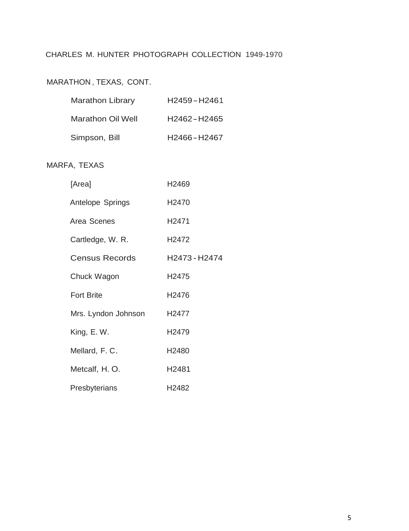# MARATHON , TEXAS, CONT.

| <b>Marathon Library</b>  | H <sub>2459</sub> -H <sub>2461</sub> |
|--------------------------|--------------------------------------|
| <b>Marathon Oil Well</b> | H <sub>2462</sub> -H <sub>2465</sub> |
| Simpson, Bill            | H2466-H2467                          |

# MARFA, TEXAS

| [Area]              | H2469             |
|---------------------|-------------------|
| Antelope Springs    | H <sub>2470</sub> |
| Area Scenes         | H <sub>2471</sub> |
| Cartledge, W. R.    | H <sub>2472</sub> |
| Census Records      | H2473 - H2474     |
| Chuck Wagon         | H2475             |
| <b>Fort Brite</b>   | H2476             |
| Mrs. Lyndon Johnson | H2477             |
| King, E.W.          | H2479             |
| Mellard, F. C.      | H2480             |
| Metcalf, H. O.      | H2481             |
| Presbyterians       | H2482             |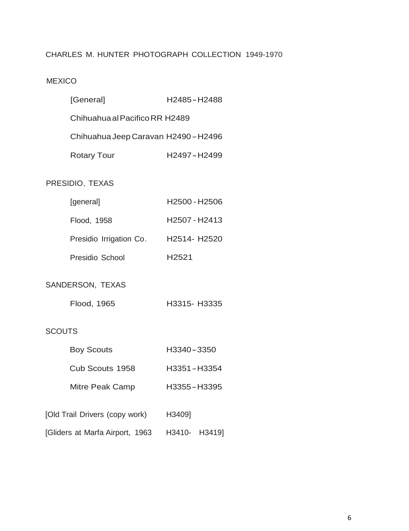# MEXICO

| [General]                                        | H2485-H2488                          |  |  |
|--------------------------------------------------|--------------------------------------|--|--|
|                                                  | Chihuahua al Pacifico RR H2489       |  |  |
|                                                  | Chihuahua Jeep Caravan H2490 - H2496 |  |  |
| <b>Rotary Tour</b>                               | H2497-H2499                          |  |  |
| PRESIDIO, TEXAS                                  |                                      |  |  |
| [general]                                        | H2500 - H2506                        |  |  |
| Flood, 1958                                      | H2507 - H2413                        |  |  |
| Presidio Irrigation Co.                          | H2514- H2520                         |  |  |
| Presidio School                                  | H2521                                |  |  |
| SANDERSON, TEXAS                                 |                                      |  |  |
| Flood, 1965                                      | H3315- H3335                         |  |  |
| <b>SCOUTS</b>                                    |                                      |  |  |
| <b>Boy Scouts</b>                                | H3340-3350                           |  |  |
| Cub Scouts 1958                                  | H3351-H3354                          |  |  |
| <b>Mitre Peak Camp</b>                           | H3355-H3395                          |  |  |
| [Old Trail Drivers (copy work) H3409]            |                                      |  |  |
| [Gliders at Marfa Airport, 1963   H3410-  H3419] |                                      |  |  |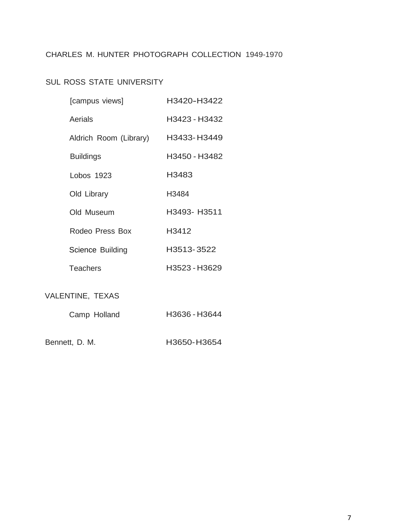# SUL ROSS STATE UNIVERSITY

| [campus views]         | H3420-H3422   |
|------------------------|---------------|
| Aerials                | H3423 - H3432 |
| Aldrich Room (Library) | H3433-H3449   |
| <b>Buildings</b>       | H3450 - H3482 |
| Lobos 1923             | H3483         |
| Old Library            | H3484         |
| Old Museum             | H3493- H3511  |
| Rodeo Press Box        | H3412         |
| Science Building       | H3513-3522    |
| <b>Teachers</b>        | H3523 - H3629 |
| VALENTINE, TEXAS       |               |
| Camp Holland           | H3636 - H3644 |

Bennett, D. M. H3650-H3654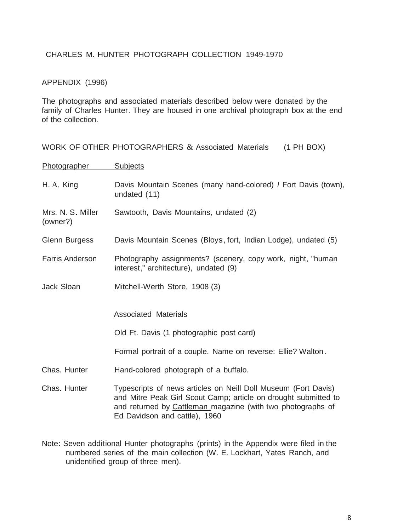#### APPENDIX (1996)

The photographs and associated materials described below were donated by the family of Charles Hunter. They are housed in one archival photograph box at the end of the collection.

|                               | WORK OF OTHER PHOTOGRAPHERS & Associated Materials<br>$(1$ PH BOX)                                                                                                                                                                |
|-------------------------------|-----------------------------------------------------------------------------------------------------------------------------------------------------------------------------------------------------------------------------------|
| Photographer                  | <b>Subjects</b>                                                                                                                                                                                                                   |
| H. A. King                    | Davis Mountain Scenes (many hand-colored) <i>I</i> Fort Davis (town),<br>undated (11)                                                                                                                                             |
| Mrs. N. S. Miller<br>(owner?) | Sawtooth, Davis Mountains, undated (2)                                                                                                                                                                                            |
| <b>Glenn Burgess</b>          | Davis Mountain Scenes (Bloys, fort, Indian Lodge), undated (5)                                                                                                                                                                    |
| <b>Farris Anderson</b>        | Photography assignments? (scenery, copy work, night, "human<br>interest," architecture), undated (9)                                                                                                                              |
| Jack Sloan                    | Mitchell-Werth Store, 1908 (3)                                                                                                                                                                                                    |
|                               | <b>Associated Materials</b>                                                                                                                                                                                                       |
|                               | Old Ft. Davis (1 photographic post card)                                                                                                                                                                                          |
|                               | Formal portrait of a couple. Name on reverse: Ellie? Walton.                                                                                                                                                                      |
| Chas. Hunter                  | Hand-colored photograph of a buffalo.                                                                                                                                                                                             |
| Chas. Hunter                  | Typescripts of news articles on Neill Doll Museum (Fort Davis)<br>and Mitre Peak Girl Scout Camp; article on drought submitted to<br>and returned by Cattleman magazine (with two photographs of<br>Ed Davidson and cattle), 1960 |

Note: Seven additional Hunter photographs (prints) in the Appendix were filed in the numbered series of the main collection (W. E. Lockhart, Yates Ranch, and unidentified group of three men).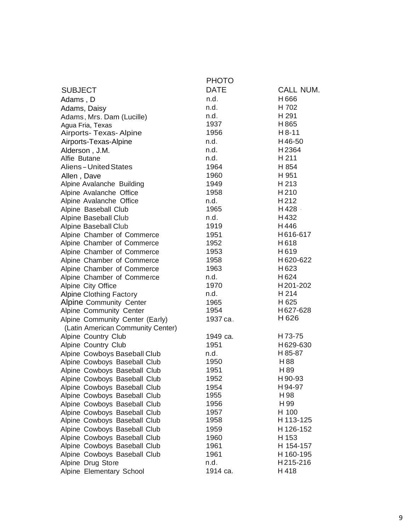|                                   | <b>PHOTO</b> |                              |
|-----------------------------------|--------------|------------------------------|
| <b>SUBJECT</b>                    | <b>DATE</b>  | CALL NUM.                    |
| Adams, D                          | n.d.         | H666                         |
| Adams, Daisy                      | n.d.         | H 702                        |
| Adams, Mrs. Dam (Lucille)         | n.d.         | H 291                        |
| Agua Fria, Texas                  | 1937         | H865                         |
| Airports- Texas- Alpine           | 1956         | $H8-11$                      |
| Airports-Texas-Alpine             | n.d.         | H46-50                       |
| Alderson, J.M.                    | n.d.         | H2364                        |
| Alfie Butane                      | n.d.         | H 211                        |
| <b>Aliens-United States</b>       | 1964         | H 854                        |
|                                   | 1960         | H 951                        |
| Allen, Dave                       | 1949         | H 213                        |
| Alpine Avalanche Building         | 1958         | H210                         |
| Alpine Avalanche Office           | n.d.         | H212                         |
| Alpine Avalanche Office           | 1965         | H428 -                       |
| Alpine Baseball Club              | n.d.         | H432                         |
| Alpine Baseball Club              | 1919         | H446                         |
| Alpine Baseball Club              |              | H616-617                     |
| Alpine Chamber of Commerce        | 1951<br>1952 | H618                         |
| Alpine Chamber of Commerce        | 1953         |                              |
| Alpine Chamber of Commerce        |              | H619                         |
| Alpine Chamber of Commerce        | 1958         | H620-622                     |
| Alpine Chamber of Commerce        | 1963         | H623                         |
| Alpine Chamber of Commerce        | n.d.         | H624                         |
| Alpine City Office                | 1970         | H201-202                     |
| <b>Alpine Clothing Factory</b>    | n.d.         | H 214                        |
| Alpine Community Center           | 1965         | H 625                        |
| Alpine Community Center           | 1954         | H627-628<br>H <sub>626</sub> |
| Alpine Community Center (Early)   | 1937 ca.     |                              |
| (Latin American Community Center) |              |                              |
| Alpine Country Club               | 1949 ca.     | H73-75                       |
| Alpine Country Club               | 1951         | H629-630                     |
| Alpine Cowboys Baseball Club      | n.d.         | H-85-87                      |
| Alpine Cowboys Baseball Club      | 1950         | H88                          |
| Alpine Cowboys Baseball Club      | 1951         | H 89                         |
| Alpine Cowboys Baseball Club      | 1952         | H 90-93                      |
| Alpine Cowboys Baseball Club      | 1954         | H94-97                       |
| Alpine Cowboys Baseball Club      | 1955         | H 98                         |
| Alpine Cowboys Baseball Club      | 1956         | H 99                         |
| Alpine Cowboys Baseball Club      | 1957         | H 100                        |
| Alpine Cowboys Baseball Club      | 1958         | H 113-125                    |
| Alpine Cowboys Baseball Club      | 1959         | H 126-152                    |
| Alpine Cowboys Baseball Club      | 1960         | H 153                        |
| Alpine Cowboys Baseball Club      | 1961         | H 154-157                    |
| Alpine Cowboys Baseball Club      | 1961         | H 160-195                    |
| Alpine Drug Store                 | n.d.         | H215-216                     |
| Alpine Elementary School          | 1914 ca.     | H418                         |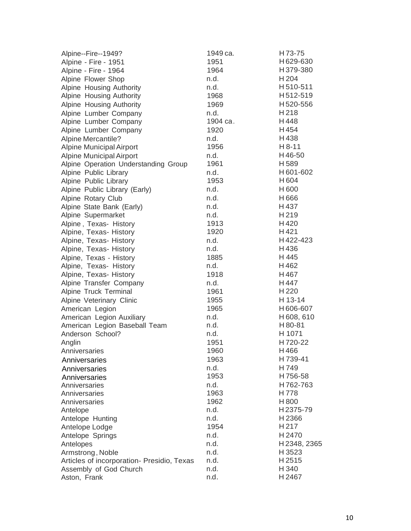| Alpine--Fire--1949?                        | 1949 ca. | H73-75           |
|--------------------------------------------|----------|------------------|
| Alpine - Fire - 1951                       | 1951     | H629-630         |
| Alpine - Fire - 1964                       | 1964     | H379-380         |
| Alpine Flower Shop                         | n.d.     | H 204            |
| Alpine Housing Authority                   | n.d.     | H510-511         |
| Alpine Housing Authority                   | 1968     | H512-519         |
| Alpine Housing Authority                   | 1969     | H520-556         |
| Alpine Lumber Company                      | n.d.     | H218             |
| Alpine Lumber Company                      | 1904 ca. | H448             |
| Alpine Lumber Company                      | 1920     | H454             |
| <b>Alpine Mercantile?</b>                  | n.d.     | H438             |
| <b>Alpine Municipal Airport</b>            | 1956     | $H 8-11$         |
| <b>Alpine Municipal Airport</b>            | n.d.     | H46-50           |
| Alpine Operation Understanding Group       | 1961     | H589             |
| Alpine Public Library                      | n.d.     | H601-602         |
| Alpine Public Library                      | 1953     | H604             |
| Alpine Public Library (Early)              | n.d.     | H600             |
| Alpine Rotary Club                         | n.d.     | H666             |
| Alpine State Bank (Early)                  | n.d.     | H437             |
| Alpine Supermarket                         | n.d.     | H219             |
| Alpine, Texas- History                     | 1913     | H420             |
| Alpine, Texas- History                     | 1920     | H421             |
| Alpine, Texas- History                     | n.d.     | H422-423         |
| Alpine, Texas- History                     | n.d.     | H436             |
| Alpine, Texas - History                    | 1885     | H 445            |
| Alpine, Texas- History                     | n.d.     | H462             |
| Alpine, Texas- History                     | 1918     | H467             |
| Alpine Transfer Company                    | n.d.     | H447             |
| Alpine Truck Terminal                      | 1961     | H <sub>220</sub> |
| Alpine Veterinary Clinic                   | 1955     | H 13-14          |
| American Legion                            | 1965     | H606-607         |
| American Legion Auxiliary                  | n.d.     | H608,610         |
| American Legion Baseball Team              | n.d.     | H 80-81          |
| Anderson School?                           | n.d.     | H 1071           |
| Anglin                                     | 1951     | H720-22          |
| Anniversaries                              | 1960     | H466             |
| Anniversaries                              | 1963     | H 739-41         |
| Anniversaries                              | n.d.     | H749             |
| Anniversaries                              | 1953     | H756-58          |
| Anniversaries                              | n.d.     | H762-763         |
| Anniversaries                              | 1963     | H778             |
| Anniversaries                              | 1962     | H800             |
| Antelope                                   | n.d.     | H2375-79         |
| Antelope Hunting                           | n.d.     | H2366            |
| Antelope Lodge                             | 1954     | H <sub>217</sub> |
| Antelope Springs                           | n.d.     | H 2470           |
| Antelopes                                  | n.d.     | H 2348, 2365     |
| Armstrong, Noble                           | n.d.     | H 3523           |
| Articles of incorporation- Presidio, Texas | n.d.     | H 2515           |
| Assembly of God Church                     | n.d.     | H 340            |
| Aston, Frank                               | n.d.     | H 2467           |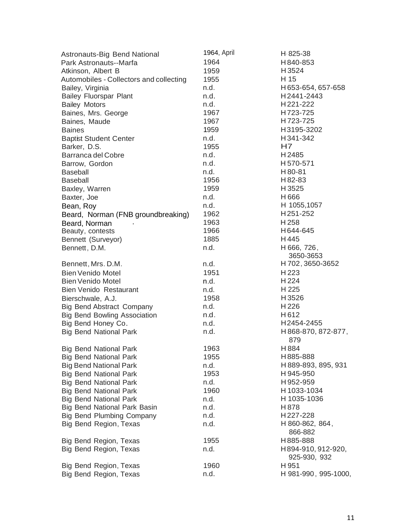| Astronauts-Big Bend National            | 1964, April | $H-825-38$                         |
|-----------------------------------------|-------------|------------------------------------|
| Park Astronauts--Marfa                  | 1964        | H840-853                           |
| Atkinson, Albert B                      | 1959        | H3524                              |
| Automobiles - Collectors and collecting | 1955        | H 15                               |
| Bailey, Virginia                        | n.d.        | H653-654, 657-658                  |
| <b>Bailey Fluorspar Plant</b>           | n.d.        | H2441-2443                         |
| <b>Bailey Motors</b>                    | n.d.        | H221-222                           |
| Baines, Mrs. George                     | 1967        | H723-725                           |
| Baines, Maude                           | 1967        | H723-725                           |
| <b>Baines</b>                           | 1959        | H3195-3202                         |
| <b>Baptist Student Center</b>           | n.d.        | H341-342                           |
| Barker, D.S.                            | 1955        | H7                                 |
| Barranca del Cobre                      | n.d.        | H2485                              |
| Barrow, Gordon                          | n.d.        | H570-571                           |
| <b>Baseball</b>                         | n.d.        | H80-81                             |
| <b>Baseball</b>                         | 1956        | H 82-83                            |
| Baxley, Warren                          | 1959        | H 3525                             |
| Baxter, Joe                             | n.d.        | H666                               |
| Bean, Roy                               | n.d.        | H 1055,1057                        |
| Beard, Norman (FNB groundbreaking)      | 1962        | H251-252                           |
| Beard, Norman                           | 1963        | H 258                              |
| Beauty, contests                        | 1966        | H644-645                           |
| Bennett (Surveyor)                      | 1885        | H445                               |
| Bennett, D.M.                           | n.d.        | H 666, 726,                        |
|                                         |             | 3650-3653                          |
| Bennett, Mrs. D.M.                      | n.d.        | H 702, 3650-3652                   |
| <b>Bien Venido Motel</b>                | 1951        | H 223                              |
| <b>Bien Venido Motel</b>                | n.d.        | H 224                              |
| <b>Bien Venido Restaurant</b>           | n.d.        | H 225                              |
| Bierschwale, A.J.                       | 1958        | H3526                              |
| <b>Big Bend Abstract Company</b>        | n.d.        | H <sub>226</sub>                   |
| <b>Big Bend Bowling Association</b>     | n.d.        | H612                               |
| Big Bend Honey Co.                      | n.d.        | H2454-2455                         |
| <b>Big Bend National Park</b>           | n.d.        | H 868-870, 872-877,<br>879         |
| <b>Big Bend National Park</b>           | 1963        | H884                               |
| <b>Big Bend National Park</b>           | 1955        | H885-888                           |
| <b>Big Bend National Park</b>           | n.d.        | H889-893, 895, 931                 |
| <b>Big Bend National Park</b>           | 1953        | H945-950                           |
| <b>Big Bend National Park</b>           | n.d.        | H952-959                           |
| <b>Big Bend National Park</b>           | 1960        | H1033-1034                         |
| <b>Big Bend National Park</b>           | n.d.        | H 1035-1036                        |
| Big Bend National Park Basin            | n.d.        | H878                               |
| <b>Big Bend Plumbing Company</b>        | n.d.        | H227-228                           |
| Big Bend Region, Texas                  | n.d.        | H 860-862, 864,<br>866-882         |
| Big Bend Region, Texas                  | 1955        | H885-888                           |
| Big Bend Region, Texas                  | n.d.        | H894-910, 912-920,<br>925-930, 932 |
| Big Bend Region, Texas                  | 1960        | H 951                              |
| Big Bend Region, Texas                  | n.d.        | H 981-990, 995-1000,               |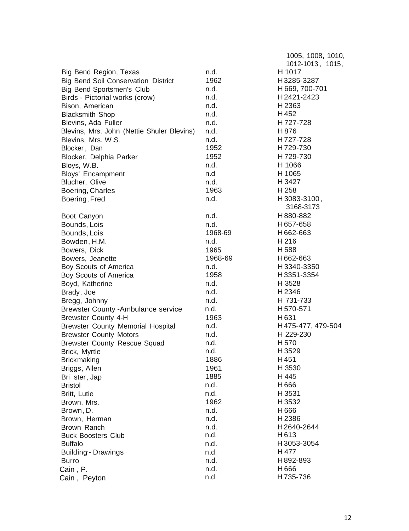|                                                                         |              | 1005, 1008, 1010, |
|-------------------------------------------------------------------------|--------------|-------------------|
|                                                                         |              | 1012-1013, 1015,  |
| Big Bend Region, Texas                                                  | n.d.         | H 1017            |
| <b>Big Bend Soil Conservation District</b>                              | 1962         | H3285-3287        |
| <b>Big Bend Sportsmen's Club</b>                                        | n.d.         | H669, 700-701     |
| Birds - Pictorial works (crow)                                          | n.d.         | H2421-2423        |
| Bison, American                                                         | n.d.         | H2363             |
| <b>Blacksmith Shop</b>                                                  | n.d.         | H452              |
| Blevins, Ada Fuller                                                     | n.d.         | H727-728          |
| Blevins, Mrs. John (Nettie Shuler Blevins)                              | n.d.         | H876              |
| Blevins, Mrs. W.S.                                                      | n.d.         | H727-728          |
| Blocker, Dan                                                            | 1952         | H729-730          |
| Blocker, Delphia Parker                                                 | 1952         | H729-730          |
| Bloys, W.B.                                                             | n.d.         | H 1066            |
| Bloys' Encampment                                                       | n.d          | H 1065            |
| Blucher, Olive                                                          | n.d.         | H 3427            |
| Boering, Charles                                                        | 1963         | H 258             |
| Boering, Fred                                                           | n.d.         | H3083-3100,       |
|                                                                         |              | 3168-3173         |
| Boot Canyon                                                             | n.d.         | H880-882          |
| Bounds, Lois                                                            | n.d.         | H657-658          |
| Bounds, Lois                                                            | 1968-69      | H662-663          |
| Bowden, H.M.                                                            | n.d.         | H 216             |
| Bowers, Dick                                                            | 1965         | H588              |
| Bowers, Jeanette                                                        | 1968-69      | H662-663          |
| Boy Scouts of America                                                   | n.d.         | H3340-3350        |
| Boy Scouts of America                                                   | 1958         | H3351-3354        |
| Boyd, Katherine                                                         | n.d.         | H 3528            |
| Brady, Joe                                                              | n.d.         | H2346             |
|                                                                         | n.d.         | H 731-733         |
| Bregg, Johnny                                                           |              | H570-571          |
| <b>Brewster County -Ambulance service</b><br><b>Brewster County 4-H</b> | n.d.<br>1963 | H <sub>631</sub>  |
|                                                                         | n.d.         | H475-477, 479-504 |
| <b>Brewster County Memorial Hospital</b>                                |              | H 229-230         |
| <b>Brewster County Motors</b>                                           | n.d.         |                   |
| <b>Brewster County Rescue Squad</b>                                     | n.d.         | H <sub>570</sub>  |
| Brick, Myrtle                                                           | n.d.         | H3529             |
| <b>Brickmaking</b>                                                      | 1886         | H451              |
| Briggs, Allen                                                           | 1961         | H 3530            |
| Bri ster, Jap                                                           | 1885         | H 445             |
| <b>Bristol</b>                                                          | n.d.         | H666              |
| Britt, Lutie                                                            | n.d.         | H 3531            |
| Brown, Mrs.                                                             | 1962         | H 3532            |
| Brown, D.                                                               | n.d.         | H666              |
| Brown, Herman                                                           | n.d.         | H2386             |
| Brown Ranch                                                             | n.d.         | H2640-2644        |
| <b>Buck Boosters Club</b>                                               | n.d.         | H613              |
| <b>Buffalo</b>                                                          | n.d.         | H3053-3054        |
| <b>Building - Drawings</b>                                              | n.d.         | H 477             |
| <b>Burro</b>                                                            | n.d.         | H892-893          |
| Cain , P.                                                               | n.d.         | H666              |
| Cain, Peyton                                                            | n.d.         | H735-736          |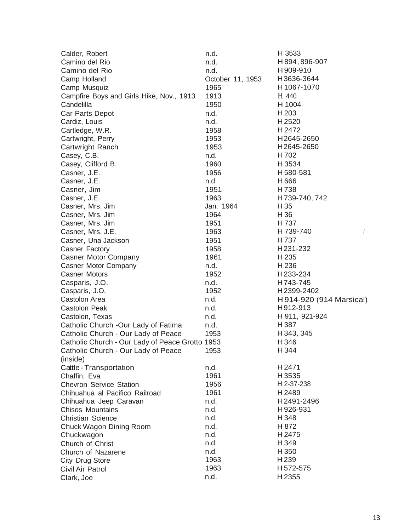| Calder, Robert                                  | n.d.             | H 3533                   |
|-------------------------------------------------|------------------|--------------------------|
| Camino del Rio                                  | n.d.             | H894,896-907             |
| Camino del Rio                                  | n.d.             | H909-910                 |
| Camp Holland                                    | October 11, 1953 | H3636-3644               |
| Camp Musquiz                                    | 1965             | H1067-1070               |
| Campfire Boys and Girls Hike, Nov., 1913        | 1913             | H 440                    |
| Candelilla                                      | 1950             | H 1004                   |
| Car Parts Depot                                 | n.d.             | H 203                    |
| Cardiz, Louis                                   | n.d.             | H2520                    |
| Cartledge, W.R.                                 | 1958             | H 2472                   |
| Cartwright, Perry                               | 1953             | H2645-2650               |
| Cartwright Ranch                                | 1953             | H2645-2650               |
| Casey, C.B.                                     | n.d.             | H 702                    |
| Casey, Clifford B.                              | 1960             | H 3534                   |
| Casner, J.E.                                    | 1956             | H580-581                 |
| Casner, J.E.                                    | n.d.             | H 666                    |
| Casner, Jim                                     | 1951             | H 738                    |
| Casner, J.E.                                    | 1963             | H739-740, 742            |
| Casner, Mrs. Jim                                | Jan. 1964        | H 35                     |
| Casner, Mrs. Jim                                | 1964             | H 36                     |
| Casner, Mrs. Jim                                | 1951             | H 737                    |
| Casner, Mrs. J.E.                               | 1963             | H 739-740                |
| Casner, Una Jackson                             | 1951             | H737                     |
|                                                 | 1958             | H231-232                 |
| Casner Factory                                  | 1961             | H 235                    |
| <b>Casner Motor Company</b>                     |                  |                          |
| Casner Motor Company                            | n.d.             | H 236                    |
| <b>Casner Motors</b>                            | 1952             | H233-234                 |
| Casparis, J.O.                                  | n.d.             | H743-745                 |
| Casparis, J.O.                                  | 1952             | H2399-2402               |
| Castolon Area                                   | n.d.             | H 914-920 (914 Marsical) |
| <b>Castolon Peak</b>                            | n.d.             | H912-913                 |
| Castolon, Texas                                 | n.d.             | H 911, 921-924           |
| Catholic Church -Our Lady of Fatima             | n.d.             | H 387                    |
| Catholic Church - Our Lady of Peace             | 1953             | H 343, 345               |
| Catholic Church - Our Lady of Peace Grotto 1953 |                  | H 346                    |
| Catholic Church - Our Lady of Peace             | 1953             | H 344                    |
| (inside)                                        |                  |                          |
| Cattle - Transportation                         | n.d.             | H2471                    |
| Chaffin, Eva                                    | 1961             | H 3535                   |
| <b>Chevron Service Station</b>                  | 1956             | H 2-37-238               |
| Chihuahua al Pacifico Railroad                  | 1961             | H 2489                   |
| Chihuahua Jeep Caravan                          | n.d.             | H2491-2496               |
| <b>Chisos Mountains</b>                         | n.d.             | H926-931                 |
| <b>Christian Science</b>                        | n.d.             | H 348                    |
| Chuck Wagon Dining Room                         | n.d.             | H 872                    |
| Chuckwagon                                      | n.d.             | H 2475                   |
| Church of Christ                                | n.d.             | H 349                    |
| Church of Nazarene                              | n.d.             | H 350                    |
| City Drug Store                                 | 1963             | H239                     |
| Civil Air Patrol                                | 1963             | H572-575.                |
| Clark, Joe                                      | n.d.             | H2355                    |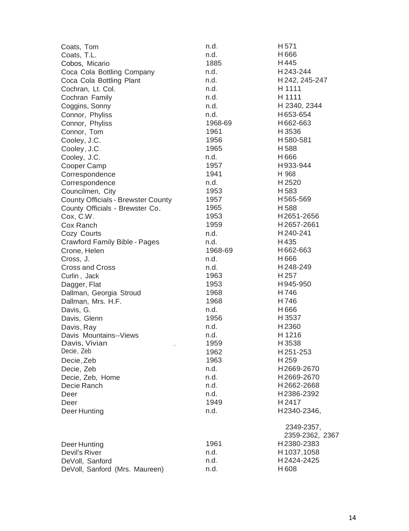| Coats, Tom                                | n.d.    | H <sub>571</sub> |
|-------------------------------------------|---------|------------------|
| Coats, T.L.                               | n.d.    | H666             |
| Cobos, Micario                            | 1885    | H445             |
| Coca Cola Bottling Company                | n.d.    | H243-244         |
| Coca Cola Bottling Plant                  | n.d.    | H 242, 245-247   |
| Cochran, Lt. Col.                         | n.d.    | H 1111           |
| Cochran Family                            | n.d.    | H 1111           |
| Coggins, Sonny                            | n.d.    | H 2340, 2344     |
| Connor, Phyliss                           | n.d.    | H653-654         |
| Connor, Phyliss                           | 1968-69 | H662-663         |
| Connor, Tom                               | 1961    | H3536            |
| Cooley, J.C.                              | 1956    | H580-581         |
| Cooley, J.C.                              | 1965    | H588             |
| Cooley, J.C.                              | n.d.    | H666             |
| Cooper Camp                               | 1957    | H933-944         |
| Correspondence                            | 1941    | H 968.           |
| Correspondence                            | n.d.    | H2520            |
| Councilmen, City                          | 1953    | H583             |
| <b>County Officials - Brewster County</b> | 1957    | H565-569         |
| County Officials - Brewster Co.           | 1965    | H588.            |
| Cox, C.W.                                 | 1953    | H2651-2656       |
| Cox Ranch                                 | 1959    | H2657-2661       |
| Cozy Courts                               | n.d.    | H240-241         |
| Crawford Family Bible - Pages             | n.d.    | H435             |
| Crone, Helen                              | 1968-69 | H662-663         |
| Cross, J.                                 | n.d.    | H 666            |
| <b>Cross and Cross</b>                    | n.d.    | H248-249         |
| Curlin, Jack                              | 1963    | H <sub>257</sub> |
| Dagger, Flat                              | 1953    | H945-950         |
| Dallman, Georgia Stroud                   | 1968    | H746             |
| Dallman, Mrs. H.F.                        | 1968    | H746             |
| Davis, G.                                 | n.d.    | H666             |
| Davis, Glenn                              | 1956    | H 3537           |
| Davis, Ray                                | n.d.    | H2360            |
| Davis Mountains--Views                    | n.d.    | H 1216           |
| Davis, Vivian<br>$\bar{z}$                | 1959    | H3538            |
| Decie, Zeb                                | 1962    | H251-253         |
| Decie, Zeb                                | 1963    | H <sub>259</sub> |
| Decie, Zeb                                | n.d.    | H2669-2670       |
| Decie, Zeb, Home                          | n.d.    | H2669-2670       |
| Decie Ranch                               | n.d.    | H2662-2668       |
| Deer                                      | n.d.    | H2386-2392       |
| Deer                                      | 1949    | H 2417           |
| Deer Hunting                              | n.d.    | H2340-2346,      |
|                                           |         | 2349-2357,       |
|                                           |         | 2359-2362, 2367  |
| Deer Hunting                              | 1961    | H2380-2383       |
| Devil's River                             | n.d.    | H 1037, 1058     |
| DeVoll, Sanford                           | n.d.    | H2424-2425       |
| DeVoll, Sanford (Mrs. Maureen)            | n.d.    | H608             |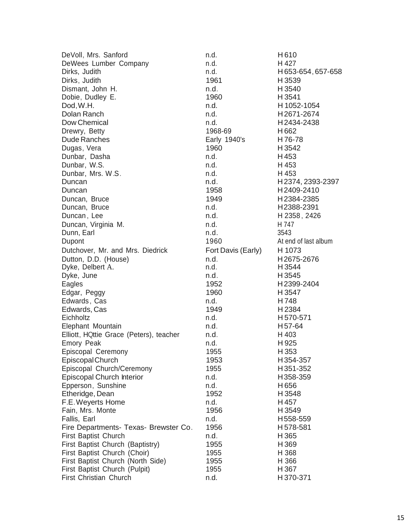| DeVoll, Mrs. Sanford                    | n.d.               | H610                 |
|-----------------------------------------|--------------------|----------------------|
| DeWees Lumber Company                   | n.d.               | H 427                |
| Dirks, Judith                           | n.d.               | H653-654, 657-658    |
| Dirks, Judith                           | 1961               | H 3539               |
| Dismant, John H.                        | n.d.               | H 3540               |
| Dobie, Dudley E.                        | 1960               | H 3541               |
| Dod, W.H.                               | n.d.               | H 1052-1054          |
| Dolan Ranch                             | n.d.               | H2671-2674           |
| Dow Chemical                            | n.d.               | H2434-2438           |
| Drewry, Betty                           | 1968-69            | H662                 |
| <b>Dude Ranches</b>                     | Early 1940's       | H76-78               |
| Dugas, Vera                             | 1960               | H 3542               |
| Dunbar, Dasha                           | n.d.               | H453                 |
| Dunbar, W.S.                            | n.d.               | H 453                |
| Dunbar, Mrs. W.S.                       | n.d.               | H 453                |
| Duncan                                  | n.d.               | H2374, 2393-2397     |
| Duncan                                  | 1958               | H2409-2410           |
| Duncan, Bruce                           | 1949               | H2384-2385           |
| Duncan, Bruce                           | n.d.               | H2388-2391           |
| Duncan, Lee                             | n.d.               | H 2358, 2426         |
| Duncan, Virginia M.                     | n.d.               | H 747                |
| Dunn, Earl                              | n.d.               | 3543                 |
| Dupont                                  | 1960               | At end of last album |
| Dutchover, Mr. and Mrs. Diedrick        |                    | H 1073               |
|                                         | Fort Davis (Early) |                      |
| Dutton, D.D. (House)                    | n.d.<br>n.d.       | H2675-2676<br>H 3544 |
| Dyke, Delbert A.                        | n.d.               | H 3545               |
| Dyke, June                              | 1952               | H2399-2404           |
| Eagles                                  | 1960               | H 3547               |
| Edgar, Peggy                            | n.d.               | H748                 |
| Edwards, Cas                            |                    |                      |
| Edwards, Cas<br>Eichholtz               | 1949               | H2384<br>H570-571    |
|                                         | n.d.               |                      |
| Elephant Mountain                       | n.d.               | H <sub>57-64</sub>   |
| Elliott, HQttie Grace (Peters), teacher | n.d.               | H 403                |
| <b>Emory Peak</b>                       | n.d.               | H 925                |
| Episcopal Ceremony                      | 1955               | H 353                |
| Episcopal Church                        | 1953               | H354-357             |
| Episcopal Church/Ceremony               | 1955               | H351-352             |
| <b>Episcopal Church Interior</b>        | n.d.               | H358-359             |
| Epperson, Sunshine                      | n.d.               | H656                 |
| Etheridge, Dean                         | 1952               | H3548                |
| F.E. Weyerts Home                       | n.d.               | H457                 |
| Fain, Mrs. Monte                        | 1956               | H 3549               |
| Fallis, Earl                            | n.d.               | H558-559             |
| Fire Departments- Texas- Brewster Co.   | 1956               | H578-581             |
| First Baptist Church                    | n.d.               | H 365                |
| First Baptist Church (Baptistry)        | 1955               | H369                 |
| First Baptist Church (Choir)            | 1955               | H 368                |
| First Baptist Church (North Side)       | 1955               | H 366                |
| First Baptist Church (Pulpit)           | 1955               | H 367                |
| First Christian Church                  | n.d.               | H370-371             |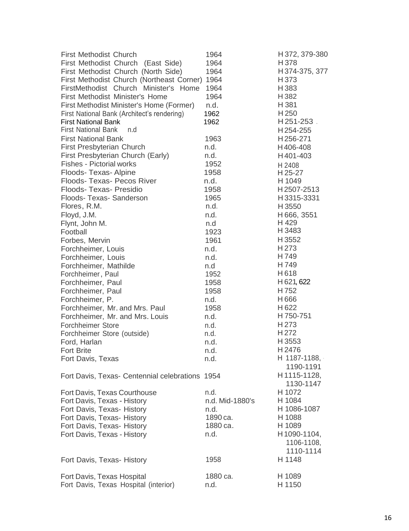| <b>First Methodist Church</b><br>First Methodist Church (East Side)<br>First Methodist Church (North Side) | 1964<br>1964<br>1964 | H 372, 379-380<br>H 378<br>H 374-375, 377 |
|------------------------------------------------------------------------------------------------------------|----------------------|-------------------------------------------|
| First Methodist Church (Northeast Corner) 1964                                                             |                      | H 373                                     |
| FirstMethodist Church Minister's Home                                                                      | 1964                 | H383                                      |
| First Methodist Minister's Home                                                                            | 1964                 | H382                                      |
| First Methodist Minister's Home (Former)                                                                   | n.d.                 | H 381                                     |
| First National Bank (Architect's rendering)                                                                | 1962                 | H 250                                     |
| <b>First National Bank</b>                                                                                 | 1962                 | H251-253.                                 |
| <b>First National Bank</b><br>n.d                                                                          |                      | H254-255                                  |
| <b>First National Bank</b>                                                                                 | 1963                 | H256-271                                  |
| <b>First Presbyterian Church</b>                                                                           | n.d.                 | H406-408                                  |
| First Presbyterian Church (Early)                                                                          | n.d.                 | H401-403                                  |
| <b>Fishes - Pictorial works</b>                                                                            | 1952                 | H 2408                                    |
| Floods- Texas- Alpine                                                                                      | 1958                 | H 25-27                                   |
| Floods- Texas- Pecos River                                                                                 | n.d.                 | H 1049                                    |
| Floods-Texas-Presidio                                                                                      | 1958                 | H2507-2513                                |
| Floods- Texas- Sanderson                                                                                   | 1965                 | H3315-3331                                |
| Flores, R.M.                                                                                               | n.d.                 | H 3550                                    |
| Floyd, J.M.                                                                                                | n.d.                 | H 666, 3551                               |
| Flynt, John M.                                                                                             | n.d                  | H 429                                     |
| Football                                                                                                   | 1923                 | H 3483                                    |
| Forbes, Mervin                                                                                             | 1961                 | H3552                                     |
| Forchheimer, Louis                                                                                         | n.d.                 | H 273                                     |
| Forchheimer, Louis                                                                                         | n.d.                 | H749                                      |
| Forchheimer, Mathilde                                                                                      | n.d                  | H 749                                     |
| Forchheimer, Paul                                                                                          | 1952                 | H618                                      |
| Forchheimer, Paul                                                                                          | 1958                 | H 621, 622                                |
| Forchheimer, Paul                                                                                          | 1958                 | H752                                      |
| Forchheimer, P.                                                                                            | n.d.                 | H666                                      |
| Forchheimer, Mr. and Mrs. Paul                                                                             | 1958                 | H <sub>622</sub>                          |
| Forchheimer, Mr. and Mrs. Louis                                                                            | n.d.                 | H 750-751                                 |
| Forchheimer Store                                                                                          | n.d.                 | H 273                                     |
| Forchheimer Store (outside)                                                                                | n.d.                 | H <sub>272</sub>                          |
| Ford, Harlan                                                                                               | n.d.                 | H 3553                                    |
| <b>Fort Brite</b>                                                                                          | n.d.                 | H 2476                                    |
| Fort Davis, Texas                                                                                          | n.d.                 | $H$ 1187-1188,                            |
|                                                                                                            |                      | 1190-1191                                 |
| Fort Davis, Texas- Centennial celebrations 1954                                                            |                      | H1115-1128,                               |
|                                                                                                            |                      | 1130-1147                                 |
| Fort Davis, Texas Courthouse                                                                               | n.d.                 | H 1072                                    |
| Fort Davis, Texas - History                                                                                | n.d. Mid-1880's      | H 1084                                    |
| Fort Davis, Texas- History                                                                                 | n.d.                 | H 1086-1087                               |
| Fort Davis, Texas- History                                                                                 | 1890 ca.             | H 1088                                    |
| Fort Davis, Texas- History                                                                                 | 1880 ca.             | H 1089                                    |
| Fort Davis, Texas - History                                                                                | n.d.                 | H1090-1104,                               |
|                                                                                                            |                      | 1106-1108,                                |
|                                                                                                            |                      | 1110-1114                                 |
| Fort Davis, Texas- History                                                                                 | 1958                 | H 1148                                    |
|                                                                                                            |                      |                                           |
| Fort Davis, Texas Hospital                                                                                 | 1880 ca.             | H 1089                                    |
| Fort Davis, Texas Hospital (interior)                                                                      | n.d.                 | H 1150                                    |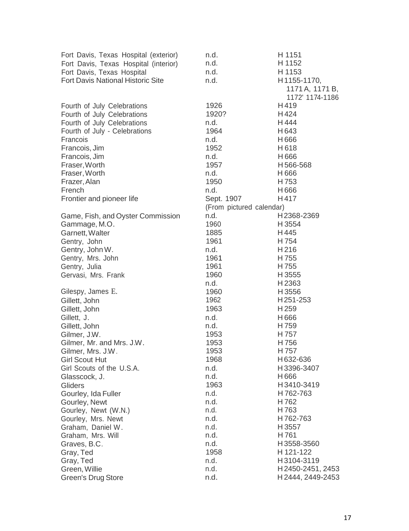| Fort Davis, Texas Hospital (exterior)    | n.d.                     | H 1151            |
|------------------------------------------|--------------------------|-------------------|
| Fort Davis, Texas Hospital (interior)    | n.d.                     | H 1152            |
| Fort Davis, Texas Hospital               | n.d.                     | H 1153            |
| <b>Fort Davis National Historic Site</b> | n.d.                     | H1155-1170,       |
|                                          |                          | 1171 A, 1171 B,   |
|                                          |                          | 1172' 1174-1186   |
| Fourth of July Celebrations              | 1926                     | H419              |
| Fourth of July Celebrations              | 1920?                    | H424              |
| Fourth of July Celebrations              | n.d.                     | H444              |
| Fourth of July - Celebrations            | 1964                     | H643              |
| Francois                                 | n.d.                     | H666              |
| Francois, Jim                            | 1952                     | H618              |
| Francois, Jim                            | n.d.                     | H666              |
| Fraser, Worth                            | 1957                     | H566-568          |
| Fraser, Worth                            | n.d.                     | H666              |
| Frazer, Alan                             | 1950                     | H753              |
| French                                   | n.d.                     | H666              |
| Frontier and pioneer life                | Sept. 1907               | H417              |
|                                          | (From pictured calendar) |                   |
| Game, Fish, and Oyster Commission        | n.d.                     | H2368-2369        |
| Gammage, M.O.                            | 1960                     | H 3554            |
| Garnett, Walter                          | 1885                     | H445              |
| Gentry, John                             | 1961                     | H 754             |
| Gentry, John W.                          | n.d.                     | H216              |
| Gentry, Mrs. John                        | 1961                     | H755              |
| Gentry, Julia                            | 1961                     | H 755             |
| Gervasi, Mrs. Frank                      | 1960                     | H 3555            |
|                                          | n.d.                     | H2363             |
| Gilespy, James E.                        | 1960                     | H3556             |
| Gillett, John                            | 1962                     | H251-253          |
| Gillett, John                            | 1963                     | H 259             |
| Gillett, J.                              | n.d.                     | H666              |
| Gillett, John                            | n.d.                     | H759              |
| Gilmer, J.W.                             | 1953                     | H757              |
| Gilmer, Mr. and Mrs. J.W.                | 1953                     | H756              |
| Gilmer, Mrs. J.W.                        | 1953                     | H757              |
| <b>Girl Scout Hut</b>                    | 1968                     | H632-636          |
| Girl Scouts of the U.S.A.                | n.d.                     | H3396-3407        |
| Glasscock, J.                            | n.d.                     | H666              |
| Gliders                                  | 1963                     | H3410-3419        |
| Gourley, Ida Fuller                      | n.d.                     | H762-763          |
| Gourley, Newt                            | n.d.                     | H762              |
| Gourley, Newt (W.N.)                     | n.d.                     | H763              |
| Gourley, Mrs. Newt                       | n.d.                     | H762-763          |
| Graham, Daniel W.                        | n.d.                     | H 3557            |
| Graham, Mrs. Will                        | n.d.                     | H761              |
| Graves, B.C.                             | n.d.                     | H3558-3560        |
| Gray, Ted                                | 1958                     | H 121-122         |
| Gray, Ted                                | n.d.                     | H3104-3119        |
| Green, Willie                            | n.d.                     | H2450-2451, 2453  |
| <b>Green's Drug Store</b>                | n.d.                     | H 2444, 2449-2453 |
|                                          |                          |                   |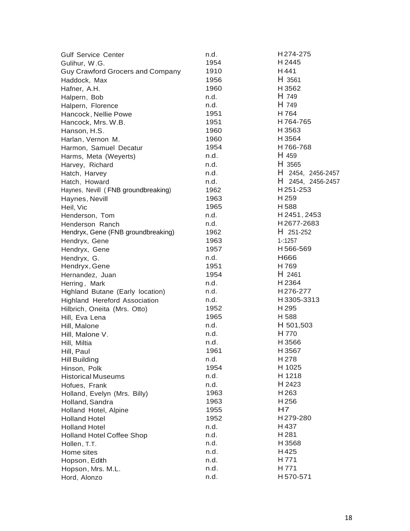| <b>Gulf Service Center</b>              | n.d. | H274-275          |
|-----------------------------------------|------|-------------------|
| Gulihur, W.G.                           | 1954 | H 2445            |
| <b>Guy Crawford Grocers and Company</b> | 1910 | H441              |
| Haddock, Max                            | 1956 | H 3561            |
| Hafner, A.H.                            | 1960 | H 3562            |
| Halpern, Bob                            | n.d. | H 749             |
| Halpern, Florence                       | n.d. | H 749             |
| Hancock, Nellie Powe                    | 1951 | H 764             |
| Hancock, Mrs. W.B.                      | 1951 | H764-765          |
| Hanson, H.S.                            | 1960 | H 3563            |
| Harlan, Vernon M.                       | 1960 | H 3564            |
| Harmon, Samuel Decatur                  | 1954 | H766-768          |
| Harms, Meta (Weyerts)                   | n.d. | H 459             |
| Harvey, Richard                         | n.d. | H 3565            |
| Hatch, Harvey                           | n.d. | H 2454, 2456-2457 |
| Hatch, Howard                           | n.d. | H 2454, 2456-2457 |
| Haynes, Nevill (FNB groundbreaking)     | 1962 | H251-253          |
| Haynes, Nevill                          | 1963 | H 259             |
| Heil, Vic                               | 1965 | H588              |
| Henderson, Tom                          | n.d. | H 2451, 2453      |
| Henderson Ranch                         | n.d. | H2677-2683        |
| Hendryx, Gene (FNB groundbreaking)      | 1962 | $H$ 251-252       |
| Hendryx, Gene                           | 1963 | $1 - 1257$        |
| Hendryx, Gene                           | 1957 | H566-569          |
| Hendryx, G.                             | n.d. | H666              |
| Hendryx, Gene                           | 1951 | H769              |
| Hernandez, Juan                         | 1954 | H 2461            |
| Herring, Mark                           | n.d. | H 2364            |
| Highland Butane (Early location)        | n.d. | H276-277          |
| <b>Highland Hereford Association</b>    | n.d. | H3305-3313        |
| Hilbrich, Oneita (Mrs. Otto)            | 1952 | H <sub>295</sub>  |
| Hill, Eva Lena                          | 1965 | H 588             |
| Hill, Malone                            | n.d. | H 501,503         |
| Hill, Malone V.                         | n.d. | H 770             |
| Hill, Miltia                            | n.d. | H 3566            |
| Hill, Paul                              | 1961 | H 3567            |
| Hill Building                           | n.d. | H 278             |
| Hinson, Polk                            | 1954 | H 1025            |
| <b>Historical Museums</b>               | n.d. | H 1218            |
| Hofues, Frank                           | n.d. | H 2423            |
| Holland, Evelyn (Mrs. Billy)            | 1963 | H 263             |
| Holland, Sandra                         | 1963 | H256              |
| Holland Hotel, Alpine                   | 1955 | H7                |
| <b>Holland Hotel</b>                    | 1952 | H279-280          |
| <b>Holland Hotel</b>                    | n.d. | H 437             |
| <b>Holland Hotel Coffee Shop</b>        | n.d. | H 281             |
| Hollen, T.T.                            | n.d. | H3568             |
| Home sites                              | n.d. | H425              |
| Hopson, Edith                           | n.d. | H 771             |
| Hopson, Mrs. M.L.                       | n.d. | H 771             |
| Hord, Alonzo                            | n.d. | H570-571          |
|                                         |      |                   |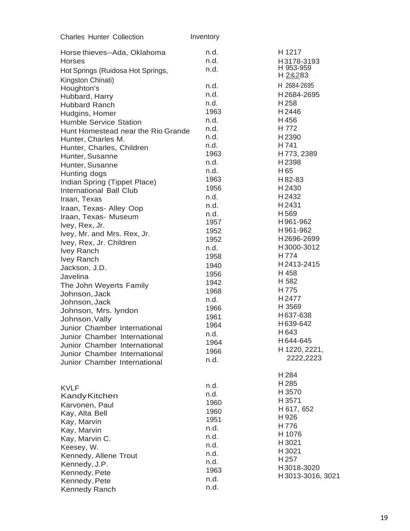| <b>Charles Hunter Collection</b>   | Inventory |                  |
|------------------------------------|-----------|------------------|
| Horse thieves--Ada, Oklahoma       | n.d.      | H 1217           |
| <b>Horses</b>                      | n.d.      | H3178-3193       |
| Hot Springs (Ruidosa Hot Springs,  | n.d.      | H 953-959        |
| Kingston Chinati)                  |           | H 2&283 ·        |
| Houghton's                         | n.d.      | H 2684-2695      |
| Hubbard, Harry                     | n.d.      | H2684-2695       |
| <b>Hubbard Ranch</b>               | n.d.      | H 258            |
| Hudgins, Homer                     | 1963      | H2446            |
| <b>Humble Service Station</b>      | n.d.      | H456             |
| Hunt Homestead near the Rio Grande | n.d.      | H 772            |
| Hunter, Charles M.                 | n.d.      | H2390            |
| Hunter, Charles, Children          | n.d.      | H741             |
| Hunter, Susanne                    | 1963      | H 773, 2389      |
| Hunter, Susanne                    | n.d.      | H2398            |
| Hunting dogs                       | n.d.      | H 65             |
| Indian Spring (Tippet Place)       | 1963      | H 82-83          |
| International Ball Club            | 1956      | H 2430           |
| Iraan, Texas                       | n.d.      | H2432            |
| Iraan, Texas- Alley Oop            | n.d.      | H 2431           |
| Iraan, Texas- Museum               | n.d.      | H569             |
| Ivey, Rex, Jr.                     | 1957      | H961-962         |
| Ivey, Mr. and Mrs. Rex, Jr.        | 1952      | H961-962         |
| Ivey, Rex, Jr. Children            | 1952      | H2696-2699       |
| <b>Ivey Ranch</b>                  | n.d.      | H3000-3012       |
| Ivey Ranch                         | 1958      | H774             |
| Jackson, J.D.                      | 1940      | H2413-2415       |
| Javelina                           | 1956      | H 458            |
| The John Weyerts Family            | 1942      | H 582            |
| Johnson, Jack                      | 1968      | H775             |
| Johnson, Jack                      | n.d.      | H2477            |
| Johnson, Mrs. lyndon               | 1966      | H 3569           |
| Johnson, Vally                     | 1961      | H637-638         |
| Junior Chamber International       | 1964      | H639-642         |
| Junior Chamber International       | n.d.      | H643             |
| Junior Chamber International       | 1964      | H644-645         |
| Junior Chamber International       | 1966      | H 1220, 2221,    |
| Junior Chamber International       | n.d.      | 2222,2223        |
|                                    |           | H 284            |
|                                    |           | H 285            |
| <b>KVLF</b>                        | n.d.      | H 3570           |
| <b>Kandy Kitchen</b>               | n.d.      | H 3571           |
| Karvonen, Paul                     | 1960      | H 617, 652       |
| Kay, Alta Bell                     | 1960      | H926             |
| Kay, Marvin                        | 1951      | H776             |
| Kay, Marvin                        | n.d.      | H 1076           |
| Kay, Marvin C.                     | n.d.      | H3021            |
| Keesey, W.                         | n.d.      | H 3021           |
| Kennedy, Allene Trout              | n.d.      | H 257            |
| Kennedy, J.P.                      | n.d.      | H3018-3020       |
| Kennedy, Pete                      | 1963      | H3013-3016, 3021 |
| Kennedy, Pete                      | n.d.      |                  |
| Kennedy Ranch                      | n.d.      |                  |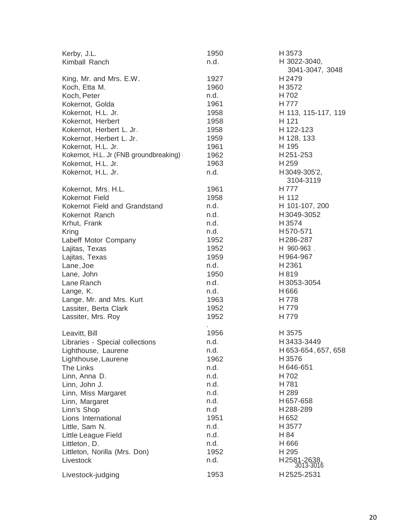| Kerby, J.L.                             | 1950 | H3573                    |
|-----------------------------------------|------|--------------------------|
| Kimball Ranch                           | n.d. | H 3022-3040,             |
|                                         |      | 3041-3047, 3048          |
| King, Mr. and Mrs. E.W.                 | 1927 | H 2479                   |
| Koch, Etta M.                           | 1960 | H 3572                   |
| Koch, Peter                             | n.d. | H 702                    |
| Kokernot, Golda                         | 1961 | H 777                    |
| Kokernot, H.L. Jr.                      | 1958 | H 113, 115-117, 119      |
| Kokernot, Herbert                       | 1958 | H 121                    |
| Kokernot, Herbert L. Jr.                | 1958 | H 122-123                |
| Kokernot, Herbert L. Jr.                | 1959 | H 128, 133               |
| Kokernot, H.L. Jr.                      | 1961 | H 195                    |
| Kokernot, H.L. Jr (FNB groundbreaking)\ | 1962 | H251-253                 |
|                                         |      |                          |
| Kokernot, H.L. Jr.                      | 1963 | H <sub>259</sub>         |
| Kokernot, H.L. Jr.                      | n.d. | H3049-305'2,             |
|                                         |      | 3104-3119                |
| Kokernot, Mrs. H.L.                     | 1961 | H 777                    |
| Kokernot Field                          | 1958 | H 112                    |
| Kokernot Field and Grandstand           | n.d. | H 101-107, 200           |
| Kokernot Ranch                          | n.d. | H3049-3052               |
| Krhut, Frank                            | n.d. | H 3574                   |
| Kring                                   | n.d. | H570-571                 |
| Labeff Motor Company                    | 1952 | H286-287                 |
| Lajitas, Texas                          | 1952 | H 960-963                |
| Lajitas, Texas                          | 1959 | H964-967                 |
| Lane, Joe                               | n.d. | H2361                    |
| Lane, John                              | 1950 | H 819                    |
| Lane Ranch                              | n.d. | H3053-3054               |
| Lange, K.                               | n.d. | H666                     |
| Lange, Mr. and Mrs. Kurt                | 1963 | H 778                    |
| Lassiter, Berta Clark                   | 1952 | H 779                    |
| Lassiter, Mrs. Roy                      | 1952 | H 779                    |
|                                         |      |                          |
| Leavitt, Bill                           | 1956 | H 3575                   |
| Libraries - Special collections         | n.d. | H3433-3449               |
| Lighthouse, Laurene                     | n.d. | H 653-654, 657, 658      |
| Lighthouse, Laurene                     | 1962 | H3576                    |
| The Links                               | n.d. | H646-651                 |
| Linn, Anna D.                           | n.d. | H702                     |
| Linn, John J.                           | n.d. | H781                     |
| Linn, Miss Margaret                     | n.d. | H 289                    |
| Linn, Margaret                          | n.d. | H657-658                 |
| Linn's Shop                             | n.d  | H288-289                 |
| Lions International                     | 1951 | H652                     |
|                                         |      | H3577                    |
| Little, Sam N.                          | n.d. |                          |
| Little League Field                     | n.d. | H 84                     |
| Littleton, D.                           | n.d. | H 666                    |
| Littleton, Norilla (Mrs. Don)           | 1952 | H 295                    |
| Livestock                               | n.d. | H2581-2638,<br>3013-3016 |
| Livestock-judging                       | 1953 | H2525-2531               |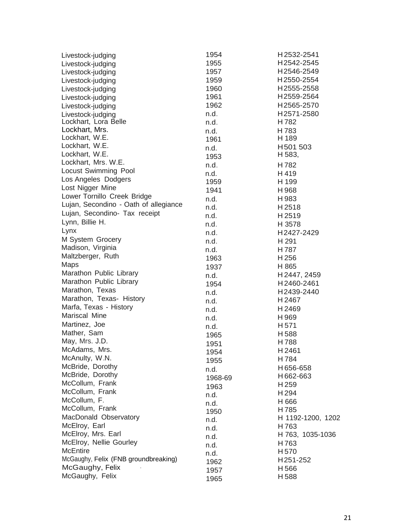| Livestock-judging                               | 1954    | H2532-2541        |
|-------------------------------------------------|---------|-------------------|
| Livestock-judging                               | 1955    | H2542-2545        |
| Livestock-judging                               | 1957    | H2546-2549        |
| Livestock-judging                               | 1959    | H2550-2554        |
| Livestock-judging                               | 1960    | H2555-2558        |
| Livestock-judging                               | 1961    | H2559-2564        |
| Livestock-judging                               | 1962    | H2565-2570        |
|                                                 | n.d.    | H2571-2580        |
| Livestock-judging<br>Lockhart, Lora Belle       | n.d.    | H782              |
| Lockhart, Mrs.                                  |         |                   |
| Lockhart, W.E.                                  | n.d.    | H783<br>H 189     |
| Lockhart, W.E.                                  | 1961    |                   |
| Lockhart, W.E.                                  | n.d.    | H501503<br>H 583, |
| Lockhart, Mrs. W.E.                             | 1953    |                   |
| <b>Locust Swimming Pool</b>                     | n.d.    | H782              |
| Los Angeles Dodgers                             | n.d.    | H 419             |
|                                                 | 1959    | H 199             |
| Lost Nigger Mine<br>Lower Tornillo Creek Bridge | 1941    | H968              |
|                                                 | n.d.    | H983              |
| Lujan, Secondino - Oath of allegiance           | n.d.    | H2518             |
| Lujan, Secondino- Tax receipt                   | n.d.    | H2519             |
| Lynn, Billie H.                                 | n.d.    | H 3578            |
| Lynx                                            | n.d.    | H2427-2429        |
| M System Grocery                                | n.d.    | H 291             |
| Madison, Virginia                               | n.d.    | H787              |
| Maltzberger, Ruth                               | 1963    | H256              |
| Maps                                            | 1937    | H 865             |
| Marathon Public Library                         | n.d.    | H 2447, 2459      |
| Marathon Public Library                         | 1954    | H2460-2461        |
| Marathon, Texas                                 | n.d.    | H2439-2440        |
| Marathon, Texas- History                        | n.d.    | H2467             |
| Marfa, Texas - History                          | n.d.    | H2469             |
| Mariscal Mine                                   | n.d.    | H 969             |
| Martinez, Joe                                   | n.d.    | H 571             |
| Mather, Sam                                     | 1965    | H 588             |
| May, Mrs. J.D.                                  | 1951    | H788              |
| McAdams, Mrs.                                   | 1954    | H2461             |
| McAnulty, W.N.                                  | 1955    | H784              |
| McBride, Dorothy                                |         | H656-658          |
| McBride, Dorothy                                | n.d.    | H662-663          |
| McCollum, Frank                                 | 1968-69 | H 259             |
| McCollum, Frank                                 | 1963    | H 294             |
| McCollum, F.                                    | n.d.    | H 666             |
| McCollum, Frank                                 | n.d.    | H785              |
| MacDonald Observatory                           | 1950    | H 1192-1200, 1202 |
| McElroy, Earl                                   | n.d.    | H763              |
| McElroy, Mrs. Earl                              | n.d.    | H 763, 1035-1036  |
| McElroy, Nellie Gourley                         | n.d.    |                   |
| <b>McEntire</b>                                 | n.d.    | H763              |
| McGaughy, Felix (FNB groundbreaking)            | n.d.    | H <sub>570</sub>  |
| McGaughy, Felix                                 | 1962    | H251-252          |
|                                                 | 1957    | H 566             |
| McGaughy, Felix                                 | 1965    | H588              |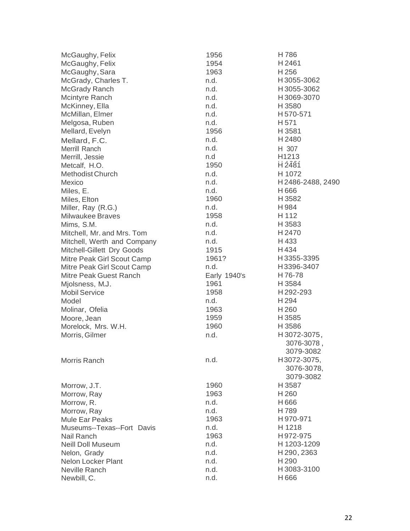| McGaughy, Felix             | 1956         | H786             |
|-----------------------------|--------------|------------------|
| McGaughy, Felix             | 1954         | H2461            |
| McGaughy, Sara              | 1963         | H 256            |
| McGrady, Charles T.         | n.d.         | H3055-3062       |
| McGrady Ranch               | n.d.         | H3055-3062       |
| Mcintyre Ranch              | n.d.         | H3069-3070       |
| McKinney, Ella              | n.d.         | H 3580           |
| McMillan, Elmer             | n.d.         | H570-571         |
| Melgosa, Ruben              | n.d.         | H <sub>571</sub> |
| Mellard, Evelyn             | 1956         | H 3581           |
| Mellard, F.C.               | n.d.         | H2480            |
| Merrill Ranch               | n.d.         | H 307            |
| Merrill, Jessie             | n.d          | H1213            |
| Metcalf, H.O.               | 1950         | H2481            |
| Methodist Church            | n.d.         | H 1072           |
| Mexico                      | n.d.         | H2486-2488, 2490 |
| Miles, E.                   | n.d.         | H666             |
| Miles, Elton                | 1960         | H 3582           |
| Miller, Ray (R.G.)          | n.d.         | H984             |
| <b>Milwaukee Braves</b>     | 1958         | H 112            |
| Mims, S.M.                  | n.d.         | H 3583           |
| Mitchell, Mr. and Mrs. Tom  | n.d.         | H2470            |
| Mitchell, Werth and Company | n.d.         | H433             |
| Mitchell-Gillett Dry Goods  | 1915         | H434             |
| Mitre Peak Girl Scout Camp  | 1961?        | H3355-3395       |
| Mitre Peak Girl Scout Camp  | n.d.         | H3396-3407       |
| Mitre Peak Guest Ranch      | Early 1940's | H76-78           |
| Miolsness, M.J.             | 1961         | H 3584           |
| <b>Mobil Service</b>        | 1958         | H292-293         |
| Model                       | n.d.         | H 294            |
| Molinar, Ofelia             | 1963         | H <sub>260</sub> |
| Moore, Jean                 | 1959         | H3585            |
| Morelock, Mrs. W.H.         | 1960         | H 3586           |
| Morris, Gilmer              | n.d.         | H3072-3075,      |
|                             |              | 3076-3078,       |
|                             |              | 3079-3082        |
| Morris Ranch                | n.d.         | H3072-3075,      |
|                             |              | 3076-3078,       |
|                             |              | 3079-3082        |
| Morrow, J.T.                | 1960         | H 3587           |
| Morrow, Ray                 | 1963         | H 260            |
| Morrow, R.                  | n.d.         | H666             |
| Morrow, Ray                 | n.d.         | H789             |
| <b>Mule Ear Peaks</b>       | 1963         | H970-971         |
| Museums--Texas--Fort Davis  | n.d.         | H 1218           |
| Nail Ranch                  | 1963         | H972-975         |
| <b>Neill Doll Museum</b>    | n.d.         | H 1203-1209      |
| Nelon, Grady                | n.d.         | H 290, 2363      |
| <b>Nelon Locker Plant</b>   | n.d.         | H <sub>290</sub> |
| Neville Ranch               | n.d.         | H3083-3100       |
| Newbill, C.                 | n.d.         | H666             |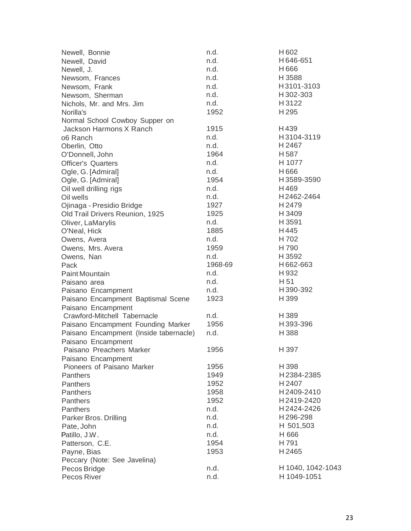| Newell, Bonnie                         | n.d.    | H <sub>602</sub>  |
|----------------------------------------|---------|-------------------|
| Newell, David                          | n.d.    | H646-651          |
| Newell, J.                             | n.d.    | H666              |
| Newsom, Frances                        | n.d.    | H 3588            |
| Newsom, Frank                          | n.d.    | H3101-3103        |
| Newsom, Sherman                        | n.d.    | H 302-303         |
| Nichols, Mr. and Mrs. Jim              | n.d.    | H3122             |
| Norilla's                              | 1952    | H295              |
| Normal School Cowboy Supper on         |         |                   |
| Jackson Harmons X Ranch                | 1915    | H439              |
| 06 Ranch                               | n.d.    | H3104-3119        |
| Oberlin, Otto                          | n.d.    | H 2467            |
| O'Donnell, John                        | 1964    | H 587             |
| <b>Officer's Quarters</b>              | n.d.    | H 1077            |
| Ogle, G. [Admiral]                     | n.d.    | H666              |
| Ogle, G. [Admiral]                     | 1954    | H3589-3590        |
| Oil well drilling rigs                 | n.d.    | H469              |
| Oil wells                              | n.d.    | H2462-2464        |
| Ojinaga - Presidio Bridge              | 1927    | H 2479            |
| Old Trail Drivers Reunion, 1925        | 1925    | H 3409            |
| Oliver, LaMarylis                      | n.d.    | H 3591            |
| O'Neal, Hick                           | 1885    | H445              |
| Owens, Avera                           | n.d.    | H 702             |
| Owens, Mrs. Avera                      | 1959    | H 790             |
| Owens, Nan                             | n.d.    | H 3592            |
| Pack                                   | 1968-69 | H662-663          |
| Paint Mountain                         | n.d.    | H 932             |
| Paisano area                           | n.d.    | H 51              |
| Paisano Encampment                     | n.d.    | H390-392          |
| Paisano Encampment Baptismal Scene     | 1923    | H 399             |
| Paisano Encampment                     |         |                   |
| Crawford-Mitchell Tabernacle           | n.d.    | H 389             |
| Paisano Encampment Founding Marker     | 1956    | H393-396          |
| Paisano Encampment (Inside tabernacle) | n.d.    | H388              |
| Paisano Encampment                     |         |                   |
| Paisano Preachers Marker               | 1956    | H 397             |
| Paisano Encampment                     |         |                   |
| Pioneers of Paisano Marker             | 1956    | H 398             |
| <b>Panthers</b>                        | 1949    | H2384-2385        |
| Panthers                               | 1952    | H 2407            |
| Panthers                               | 1958    | H2409-2410        |
| Panthers                               | 1952    | H2419-2420        |
| <b>Panthers</b>                        | n.d.    | H2424-2426        |
| Parker Bros. Drilling                  | n.d.    | H296-298          |
| Pate, John                             | n.d.    | H 501,503         |
| Patillo, J.W.                          | n.d.    | H 666             |
| Patterson, C.E.                        | 1954    | H 791             |
| Payne, Bias                            | 1953    | H2465             |
| Peccary (Note: See Javelina)           |         |                   |
| Pecos Bridge                           | n.d.    | H 1040, 1042-1043 |
| Pecos River                            | n.d.    | H 1049-1051       |
|                                        |         |                   |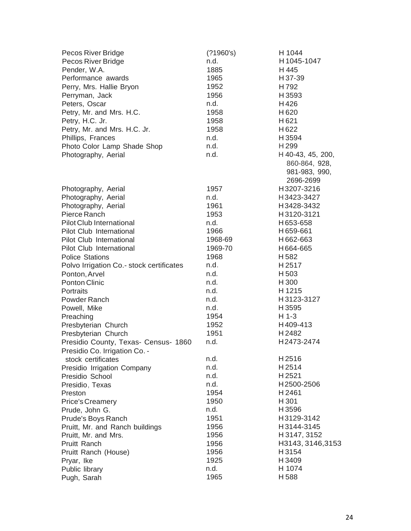| Pecos River Bridge                       | (21960's) | H 1044            |
|------------------------------------------|-----------|-------------------|
| Pecos River Bridge                       | n.d.      | H1045-1047        |
| Pender, W.A.                             | 1885      | H 445             |
| Performance awards                       | 1965      | H 37-39           |
| Perry, Mrs. Hallie Bryon                 | 1952      | H792              |
| Perryman, Jack                           | 1956      | H 3593            |
| Peters, Oscar                            | n.d.      | H426              |
| Petry, Mr. and Mrs. H.C.                 | 1958      | H <sub>620</sub>  |
| Petry, H.C. Jr.                          | 1958      | H621              |
| Petry, Mr. and Mrs. H.C. Jr.             | 1958      | H <sub>622</sub>  |
| Phillips, Frances                        | n.d.      | H 3594            |
| Photo Color Lamp Shade Shop              | n.d.      | H <sub>299</sub>  |
| Photography, Aerial                      | n.d.      | H 40-43, 45, 200, |
|                                          |           | 860-864, 928,     |
|                                          |           | 981-983, 990,     |
|                                          |           | 2696-2699         |
| Photography, Aerial                      | 1957      | H3207-3216        |
| Photography, Aerial                      | n.d.      | H3423-3427        |
| Photography, Aerial                      | 1961      | H3428-3432        |
| Pierce Ranch                             | 1953      | H3120-3121        |
| <b>Pilot Club International</b>          | n.d.      | H653-658          |
| Pilot Club International                 | 1966      | H659-661          |
| Pilot Club International                 | 1968-69   | H662-663          |
| Pilot Club International                 | 1969-70   | H664-665          |
| <b>Police Stations</b>                   | 1968      | H 582             |
| Polvo Irrigation Co.- stock certificates | n.d.      | H2517             |
| Ponton, Arvel                            | n.d.      | H 503             |
| Ponton Clinic                            | n.d.      | H 300             |
| Portraits                                | n.d.      | H 1215            |
| Powder Ranch                             | n.d.      | H3123-3127        |
| Powell, Mike                             | n.d.      | H 3595            |
| Preaching                                | 1954      | H 1-3             |
| Presbyterian Church                      | 1952      | H409-413          |
| Presbyterian Church                      | 1951      | H2482             |
| Presidio County, Texas- Census- 1860     | n.d.      | H2473-2474        |
| Presidio Co. Irrigation Co. -            |           |                   |
| stock certificates                       | n.d.      | H2516             |
| Presidio Irrigation Company              | n.d.      | H2514             |
| Presidio School                          | n.d.      | H2521             |
| Presidio, Texas                          | n.d.      | H2500-2506        |
| Preston                                  | 1954      | H2461             |
| <b>Price's Creamery</b>                  | 1950      | H 301             |
| Prude, John G.                           | n.d.      | H3596             |
| Prude's Boys Ranch                       | 1951      | H3129-3142        |
| Pruitt, Mr. and Ranch buildings          | 1956      | H3144-3145        |
| Pruitt, Mr. and Mrs.                     | 1956      | H 3147, 3152      |
| Pruitt Ranch                             | 1956      | H3143, 3146, 3153 |
| Pruitt Ranch (House)                     | 1956      | H3154             |
| Pryar, Ike                               | 1925      | H3409             |
| Public library                           | n.d.      | H 1074            |
| Pugh, Sarah                              | 1965      | H588              |
|                                          |           |                   |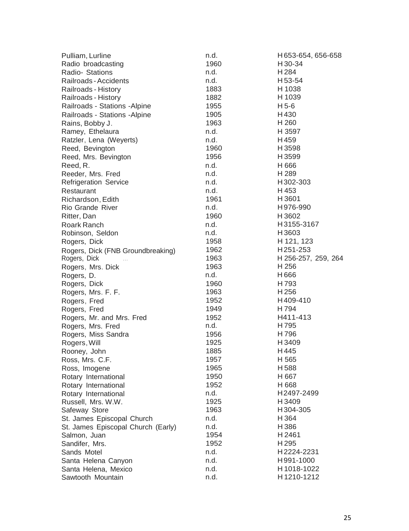| Pulliam, Lurline                   | n.d. | H653-654, 656-658   |
|------------------------------------|------|---------------------|
| Radio broadcasting                 | 1960 | H 30-34             |
| Radio- Stations                    | n.d. | H 284               |
| Railroads - Accidents              | n.d. | H 53-54             |
| Railroads - History                | 1883 | H 1038              |
| Railroads - History                | 1882 | H 1039              |
| Railroads - Stations - Alpine      | 1955 | H 5-6               |
| Railroads - Stations - Alpine      | 1905 | H430                |
| Rains, Bobby J.                    | 1963 | H 260               |
| Ramey, Ethelaura                   | n.d. | H 3597              |
| Ratzler, Lena (Weyerts)            | n.d. | H459                |
| Reed, Bevington                    | 1960 | H3598               |
| Reed, Mrs. Bevington               | 1956 | H3599               |
| Reed, R.                           | n.d. | H 666               |
| Reeder, Mrs. Fred                  | n.d. | H 289               |
| <b>Refrigeration Service</b>       | n.d. | H302-303            |
| Restaurant                         | n.d. | H 453               |
| Richardson, Edith                  | 1961 | H 3601              |
| <b>Rio Grande River</b>            | n.d. | H976-990            |
| Ritter, Dan                        | 1960 | H3602               |
| Roark Ranch                        | n.d. | H3155-3167          |
| Robinson, Seldon                   | n.d. | H3603               |
| Rogers, Dick                       | 1958 | H 121, 123          |
| Rogers, Dick (FNB Groundbreaking)  | 1962 | H251-253            |
| Rogers, Dick                       | 1963 | H 256-257, 259, 264 |
| Rogers, Mrs. Dick                  | 1963 | H 256               |
| Rogers, D.                         | n.d. | H666                |
| Rogers, Dick                       | 1960 | H 793               |
| Rogers, Mrs. F. F.                 | 1963 | H 256               |
| Rogers, Fred                       | 1952 | H409-410            |
| Rogers, Fred                       | 1949 | H 794               |
| Rogers, Mr. and Mrs. Fred          | 1952 | H411-413            |
| Rogers, Mrs. Fred                  | n.d. | H795                |
| Rogers, Miss Sandra                | 1956 | H 796               |
| Rogers, Will                       | 1925 | H3409               |
| Rooney, John                       | 1885 | H445                |
| Ross, Mrs. C.F.                    | 1957 | H 565               |
| Ross, Imogene                      | 1965 | H588                |
| Rotary International               | 1950 | H 667               |
| Rotary International               | 1952 | H 668               |
| Rotary International               | n.d. | H2497-2499          |
| Russell, Mrs. W.W.                 | 1925 | H3409               |
| Safeway Store                      | 1963 | H304-305            |
| St. James Episcopal Church         | n.d. | H 364               |
| St. James Episcopal Church (Early) | n.d. | H386                |
| Salmon, Juan                       | 1954 | H 2461              |
| Sandifer, Mrs.                     | 1952 | H 295               |
| Sands Motel                        | n.d. | H2224-2231          |
| Santa Helena Canyon                | n.d. | H991-1000           |
| Santa Helena, Mexico               | n.d. | H1018-1022          |
| Sawtooth Mountain                  | n.d. | H1210-1212          |
|                                    |      |                     |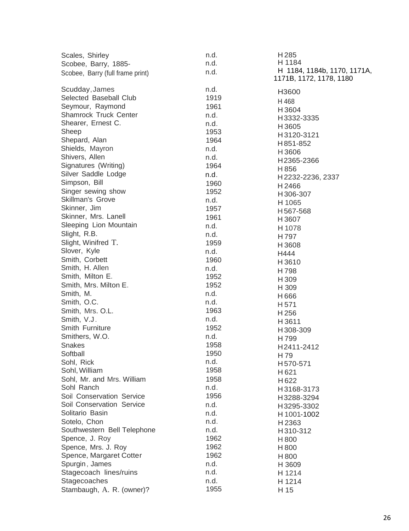| Scales, Shirley                          | n.d. | H <sub>285</sub><br>H 1184  |
|------------------------------------------|------|-----------------------------|
| Scobee, Barry, 1885-                     | n.d. | H 1184, 1184b, 1170, 1171A, |
| Scobee, Barry (full frame print)         | n.d. | 1171B, 1172, 1178, 1180     |
|                                          | n.d. |                             |
| Scudday, James<br>Selected Baseball Club | 1919 | H3600                       |
|                                          |      | H468                        |
| Seymour, Raymond                         | 1961 | H3604                       |
| <b>Shamrock Truck Center</b>             | n.d. | H3332-3335                  |
| Shearer, Ernest C.                       | n.d. | H3605                       |
| Sheep                                    | 1953 | H3120-3121                  |
| Shepard, Alan                            | 1964 | H851-852                    |
| Shields, Mayron                          | n.d. | H3606                       |
| Shivers, Allen                           | n.d. | H2365-2366                  |
| Signatures (Writing)                     | 1964 | H 856                       |
| Silver Saddle Lodge                      | n.d. | H2232-2236, 2337            |
| Simpson, Bill                            | 1960 | H2466                       |
| Singer sewing show                       | 1952 | H306-307                    |
| <b>Skillman's Grove</b>                  | n.d. | H 1065                      |
| Skinner, Jim                             | 1957 | H567-568                    |
| Skinner, Mrs. Lanell                     | 1961 | H3607                       |
| Sleeping Lion Mountain                   | n.d. | H 1078                      |
| Slight, R.B.                             | n.d. | H797                        |
| Slight, Winifred T.                      | 1959 | H3608                       |
| Slover, Kyle                             | n.d. | H444                        |
| Smith, Corbett                           | 1960 | H3610                       |
| Smith, H. Allen                          | n.d. | H798                        |
| Smith, Milton E.                         | 1952 | H 309                       |
| Smith, Mrs. Milton E.                    | 1952 | H 309                       |
| Smith, M.                                | n.d. | H666                        |
| Smith, O.C.                              | n.d. | H <sub>571</sub>            |
| Smith, Mrs. O.L.                         | 1963 | H256                        |
| Smith, V.J.                              | n.d. | H3611                       |
| Smith Furniture                          | 1952 | H308-309                    |
| Smithers, W.O.                           | n.d. | H799                        |
| <b>Snakes</b>                            | 1958 | H2411-2412                  |
| Softball                                 | 1950 | H 79                        |
| Sohl, Rick                               | n.d. | H570-571                    |
| Sohl, William                            | 1958 | H621                        |
| Sohl, Mr. and Mrs. William               | 1958 | H <sub>622</sub>            |
| Sohl Ranch                               | n.d. | H3168-3173                  |
| Soil Conservation Service                | 1956 | H3288-3294                  |
| Soil Conservation Service                | n.d. | H3295-3302                  |
| Solitario Basin                          | n.d. | H 1001-1002                 |
| Sotelo, Chon                             | n.d. | H 2363                      |
| Southwestern Bell Telephone              | n.d. | H310-312                    |
| Spence, J. Roy                           | 1962 | H800                        |
| Spence, Mrs. J. Roy                      | 1962 | H 800                       |
| Spence, Margaret Cotter                  | 1962 | H 800                       |
| Spurgin, James                           | n.d. | H 3609                      |
| Stagecoach lines/ruins                   | n.d. | H 1214                      |
| Stagecoaches                             | n.d. | H 1214                      |
| Stambaugh, A. R. (owner)?                | 1955 | H 15                        |
|                                          |      |                             |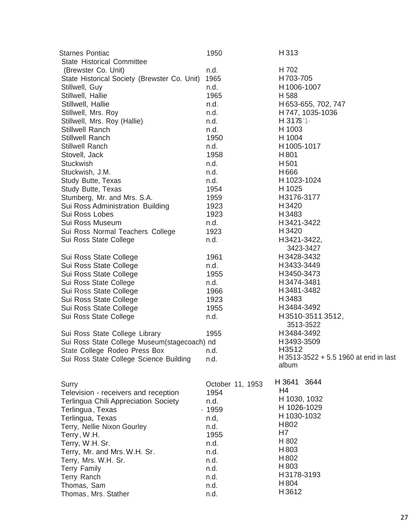| <b>Starnes Pontiac</b><br><b>State Historical Committee</b> | 1950             | H 313                                 |
|-------------------------------------------------------------|------------------|---------------------------------------|
| (Brewster Co. Unit)                                         | n.d.             | H 702                                 |
| State Historical Society (Brewster Co. Unit)                | 1965             | H703-705                              |
| Stillwell, Guy                                              | n.d.             | H1006-1007                            |
| Stillwell, Hallie                                           | 1965             | H 588                                 |
| Stillwell, Hallie                                           | n.d.             | H 653-655, 702, 747                   |
| Stillwell, Mrs. Roy                                         | n.d.             | H 747, 1035-1036                      |
| Stillwell, Mrs. Roy (Hallie)                                | n.d.             | $H$ 317\$ '1-                         |
| <b>Stillwell Ranch</b>                                      | n.d.             | H 1003                                |
| <b>Stillwell Ranch</b>                                      | 1950             | H 1004                                |
| Stillwell Ranch                                             | n.d.             | H1005-1017                            |
| Stovell, Jack                                               | 1958             | H801                                  |
| Stuckwish                                                   | n.d.             | H <sub>501</sub>                      |
| Stuckwish, J.M.                                             | n.d.             | H666                                  |
| Study Butte, Texas                                          | n.d.             | H 1023-1024                           |
| Study Butte, Texas                                          | 1954             | H 1025                                |
| Stumberg, Mr. and Mrs. S.A.                                 | 1959             | H3176-3177                            |
| Sui Ross Administration Building                            | 1923             | H 3420                                |
| Sui Ross Lobes                                              | 1923             | H 3483                                |
| Sui Ross Museum                                             | n.d.             | H3421-3422                            |
| Sui Ross Normal Teachers College                            | 1923             | H 3420                                |
| Sui Ross State College                                      | $n.d. -$         | H3421-3422,                           |
|                                                             |                  | 3423-3427                             |
| Sui Ross State College                                      | 1961             | H3428-3432                            |
| Sui Ross State College                                      | n.d.             | H3433-3449                            |
| Sui Ross State College                                      | 1955             | H3450-3473                            |
| Sui Ross State College                                      | n.d.             | H3474-3481                            |
| Sui Ross State College                                      | 1966             | H3481-3482                            |
| Sui Ross State College                                      | 1923             | H 3483                                |
| Sui Ross State College                                      | 1955             | H3484-3492                            |
| Sui Ross State College                                      | n.d.             | H3510-3511.3512,<br>3513-3522         |
| Sui Ross State College Library                              | 1955             | H3484-3492                            |
| Sui Ross State College Museum(stagecoach) nd                |                  | H3493-3509                            |
| State College Rodeo Press Box                               | n.d.             | H3512                                 |
| Sui Ross State College Science Building                     | n.d.             | H 3513-3522 + 5.5 1960 at end in last |
|                                                             |                  | album                                 |
| Surry                                                       | October 11, 1953 | H 3641 3644                           |
| Television - receivers and reception                        | 1954             | H4                                    |
| <b>Terlingua Chili Appreciation Society</b>                 | n.d.             | H 1030, 1032<br>H 1026-1029           |
| Terlingua, Texas                                            | $-1959$          |                                       |
| Terlingua, Texas                                            | n.d,             | H 1030-1032                           |
| Terry, Nellie Nixon Gourley                                 | n.d.             | H802<br>H7                            |
| Terry, W.H.                                                 | 1955             | H 802                                 |
| Terry, W.H. Sr.                                             | n.d.             | H 803                                 |
| Terry, Mr. and Mrs. W.H. Sr.                                | n.d.             | H802                                  |
| Terry, Mrs. W.H. Sr.                                        | n.d.             | H 803                                 |
| <b>Terry Family</b>                                         | n.d.             | H3178-3193                            |
| Terry Ranch<br>Thomas, Sam                                  | n.d.<br>n.d.     | H 804                                 |
| Thomas, Mrs. Stather                                        | n.d.             | H3612                                 |
|                                                             |                  |                                       |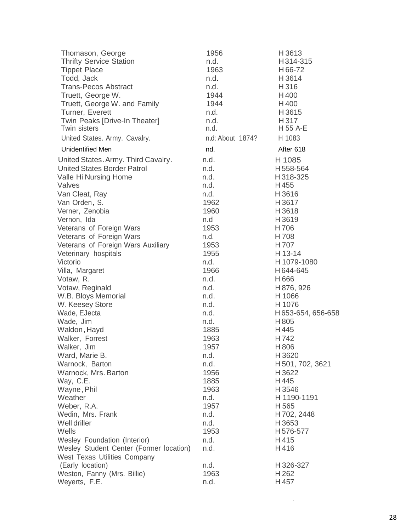| Thomason, George<br><b>Thrifty Service Station</b><br><b>Tippet Place</b> | 1956<br>n.d.<br>1963 | H3613<br>H314-315<br>H66-72 |
|---------------------------------------------------------------------------|----------------------|-----------------------------|
| Todd, Jack                                                                | n.d.                 | H3614                       |
| <b>Trans-Pecos Abstract</b>                                               | n.d.                 | H316                        |
| Truett, George W.                                                         | 1944                 | H400                        |
| Truett, George W. and Family                                              | 1944                 | H400                        |
| Turner, Everett                                                           | n.d.                 | H3615                       |
| Twin Peaks [Drive-In Theater]                                             | n.d.                 | H 317                       |
| Twin sisters                                                              | n.d.                 | H 55 A-E                    |
| United States. Army. Cavalry.                                             | n.d: About 1874?     | H 1083                      |
| <b>Unidentified Men</b>                                                   | nd.                  | After 618                   |
| United States. Army. Third Cavalry.                                       | n.d.                 | H 1085                      |
| <b>United States Border Patrol</b>                                        | n.d.                 | H558-564                    |
| Valle Hi Nursing Home                                                     | n.d.                 | H 318-325                   |
| Valves                                                                    | n.d.                 | H455                        |
| Van Cleat, Ray                                                            | n.d.                 | H3616                       |
| Van Orden, S.                                                             | 1962                 | H3617                       |
| Verner, Zenobia                                                           | 1960                 | H3618                       |
| Vernon, Ida                                                               | n.d                  | H3619                       |
| Veterans of Foreign Wars                                                  | 1953                 | H706                        |
| Veterans of Foreign Wars                                                  | n.d.                 | H 708                       |
| Veterans of Foreign Wars Auxiliary                                        | 1953                 | H 707                       |
| Veterinary hospitals                                                      | 1955                 | H 13-14                     |
| Victorio                                                                  | n.d.                 | H 1079-1080                 |
| Villa, Margaret                                                           | 1966                 | H644-645                    |
| Votaw, R.                                                                 | n.d.                 | H666                        |
| Votaw, Reginald                                                           | n.d.                 | H 876, 926                  |
| W.B. Bloys Memorial                                                       | n.d.                 | H 1066                      |
| W. Keesey Store                                                           | n.d.                 | H 1076                      |
| Wade, EJecta                                                              | n.d.                 | H653-654, 656-658           |
| Wade, Jim                                                                 | n.d.                 | H805                        |
| Waldon, Hayd                                                              | 1885                 | H445                        |
| Walker, Forrest                                                           | 1963                 | H742                        |
| Walker, Jim                                                               | 1957                 | H806                        |
| Ward, Marie B.                                                            | n.d.                 | H3620                       |
| Warnock, Barton                                                           | n.d.                 | H 501, 702, 3621            |
| Warnock, Mrs. Barton                                                      | 1956                 | H 3622                      |
| Way, C.E.                                                                 | 1885                 | H445                        |
| Wayne, Phil                                                               | 1963                 | H 3546                      |
| Weather                                                                   | n.d.                 | H 1190-1191                 |
| Weber, R.A.                                                               | 1957                 | H 565                       |
| Wedin, Mrs. Frank                                                         | n.d.                 | H 702, 2448                 |
| Well driller                                                              | n.d.                 | H 3653                      |
| Wells                                                                     | 1953                 | H576-577                    |
| Wesley Foundation (Interior)                                              | n.d.                 | H415                        |
| Wesley Student Center (Former location)                                   | n.d.                 | H416                        |
| <b>West Texas Utilities Company</b>                                       |                      |                             |
| (Early location)                                                          | n.d.                 | H 326-327                   |
| Weston, Fanny (Mrs. Billie)                                               | 1963                 | H 262                       |
| Weyerts, F.E.                                                             | n.d.                 | H457                        |

·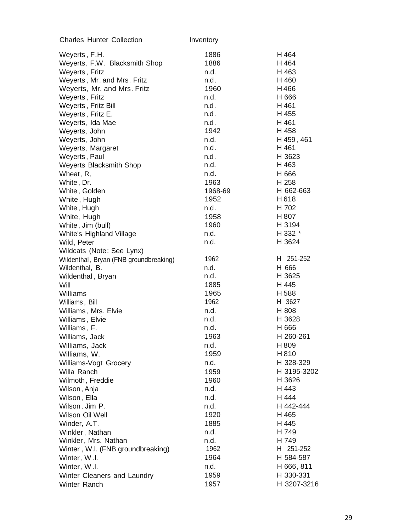| <b>Charles Hunter Collection</b>       | Inventory |             |
|----------------------------------------|-----------|-------------|
| Weyerts, F.H.                          | 1886      | H 464       |
| Weyerts, F.W. Blacksmith Shop          | 1886      | H 464       |
| Weyerts, Fritz                         | n.d.      | H 463       |
| Weyerts, Mr. and Mrs. Fritz            | n.d.      | H 460       |
| Weyerts, Mr. and Mrs. Fritz            | 1960      | H466        |
| Weyerts, Fritz                         | n.d.      | H 666       |
| Weyerts, Fritz Bill                    | n.d.      | H 461       |
| Weyerts, Fritz E.                      | n.d.      | H 455       |
| Weyerts, Ida Mae                       | n.d.      | H 461       |
| Weyerts, John                          | 1942      | H 458       |
| Weyerts, John                          | n.d.      | H 459, 461  |
| Weyerts, Margaret                      | n.d.      | H 461       |
| Weyerts, Paul                          | n.d.      | H 3623      |
| <b>Weyerts Blacksmith Shop</b>         | n.d.      | H 463       |
| Wheat, R.                              | n.d.      | H 666       |
| White, Dr.                             | 1963      | H 258       |
| White, Golden                          | 1968-69   | H 662-663   |
| White, Hugh                            | 1952      | H618        |
| White, Hugh                            | n.d.      | H 702       |
| White, Hugh                            | 1958      | H 807       |
| White, Jim (bull)                      | 1960      | H 3194      |
| White's Highland Village               | n.d.      | H 332 *     |
| Wild, Peter                            | n.d.      | H 3624      |
| Wildcats (Note: See Lynx)              |           |             |
| Wildenthal, Bryan (FNB groundbreaking) | 1962      | H 251-252   |
| Wildenthal, B.                         | n.d.      | H 666       |
| Wildenthal, Bryan                      | n.d.      | H 3625      |
| Will                                   | 1885      | H 445       |
| Williams                               | 1965      | H588        |
| Williams, Bill                         | 1962      | H 3627      |
| Williams, Mrs. Elvie                   | n.d.      | H 808       |
| Williams, Elvie                        | n.d.      | H 3628      |
| Williams, F.                           | n.d.      | H 666       |
| Williams, Jack                         | 1963      | H 260-261   |
| Williams, Jack                         | n.d.      | H 809       |
| Williams, W.                           | 1959      | H810        |
| Williams-Vogt Grocery                  | n.d.      | H 328-329   |
| Willa Ranch                            | 1959      | H 3195-3202 |
| Wilmoth, Freddie                       | 1960      | H 3626      |
| Wilson, Anja                           | n.d.      | H 443       |
| Wilson, Ella                           | n.d.      | H 444       |
| Wilson, Jim P.                         | n.d.      | H 442-444   |
| Wilson Oil Well                        | 1920      | H 465       |
| Winder, A.T.                           | 1885      | H 445       |
| Winkler, Nathan                        | n.d.      | H 749       |
| Winkler, Mrs. Nathan                   | n.d.      | H 749       |
| Winter, W.I. (FNB groundbreaking)      | 1962      | H 251-252   |
| Winter, W.I.                           | 1964      | H 584-587   |
| Winter, W.I.                           | n.d.      | H 666, 811  |
| Winter Cleaners and Laundry            | 1959      | H 330-331   |
| Winter Ranch                           | 1957      | H 3207-3216 |